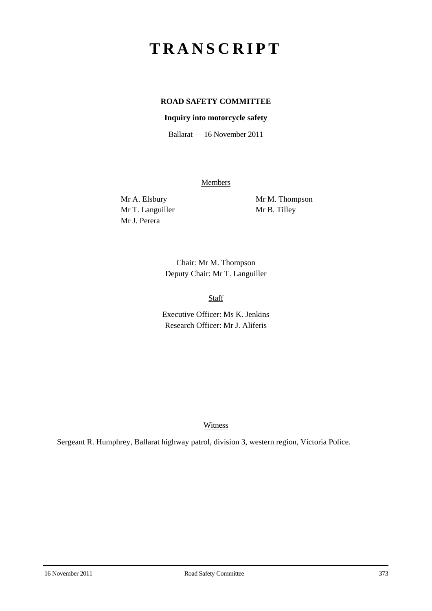# **TRANSCRIPT**

# **ROAD SAFETY COMMITTEE**

# **Inquiry into motorcycle safety**

Ballarat — 16 November 2011

**Members** 

Mr T. Languiller Mr B. Tilley Mr J. Perera

Mr A. Elsbury Mr M. Thompson

Chair: Mr M. Thompson Deputy Chair: Mr T. Languiller

Staff

Executive Officer: Ms K. Jenkins Research Officer: Mr J. Aliferis

Witness

Sergeant R. Humphrey, Ballarat highway patrol, division 3, western region, Victoria Police.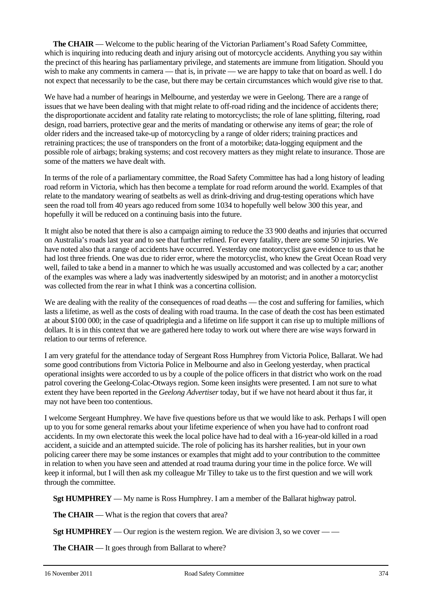**The CHAIR** — Welcome to the public hearing of the Victorian Parliament's Road Safety Committee, which is inquiring into reducing death and injury arising out of motorcycle accidents. Anything you say within the precinct of this hearing has parliamentary privilege, and statements are immune from litigation. Should you wish to make any comments in camera — that is, in private — we are happy to take that on board as well. I do not expect that necessarily to be the case, but there may be certain circumstances which would give rise to that.

We have had a number of hearings in Melbourne, and yesterday we were in Geelong. There are a range of issues that we have been dealing with that might relate to off-road riding and the incidence of accidents there; the disproportionate accident and fatality rate relating to motorcyclists; the role of lane splitting, filtering, road design, road barriers, protective gear and the merits of mandating or otherwise any items of gear; the role of older riders and the increased take-up of motorcycling by a range of older riders; training practices and retraining practices; the use of transponders on the front of a motorbike; data-logging equipment and the possible role of airbags; braking systems; and cost recovery matters as they might relate to insurance. Those are some of the matters we have dealt with.

In terms of the role of a parliamentary committee, the Road Safety Committee has had a long history of leading road reform in Victoria, which has then become a template for road reform around the world. Examples of that relate to the mandatory wearing of seatbelts as well as drink-driving and drug-testing operations which have seen the road toll from 40 years ago reduced from some 1034 to hopefully well below 300 this year, and hopefully it will be reduced on a continuing basis into the future.

It might also be noted that there is also a campaign aiming to reduce the 33 900 deaths and injuries that occurred on Australia's roads last year and to see that further refined. For every fatality, there are some 50 injuries. We have noted also that a range of accidents have occurred. Yesterday one motorcyclist gave evidence to us that he had lost three friends. One was due to rider error, where the motorcyclist, who knew the Great Ocean Road very well, failed to take a bend in a manner to which he was usually accustomed and was collected by a car; another of the examples was where a lady was inadvertently sideswiped by an motorist; and in another a motorcyclist was collected from the rear in what I think was a concertina collision.

We are dealing with the reality of the consequences of road deaths — the cost and suffering for families, which lasts a lifetime, as well as the costs of dealing with road trauma. In the case of death the cost has been estimated at about \$100 000; in the case of quadriplegia and a lifetime on life support it can rise up to multiple millions of dollars. It is in this context that we are gathered here today to work out where there are wise ways forward in relation to our terms of reference.

I am very grateful for the attendance today of Sergeant Ross Humphrey from Victoria Police, Ballarat. We had some good contributions from Victoria Police in Melbourne and also in Geelong yesterday, when practical operational insights were accorded to us by a couple of the police officers in that district who work on the road patrol covering the Geelong-Colac-Otways region. Some keen insights were presented. I am not sure to what extent they have been reported in the *Geelong Advertiser* today, but if we have not heard about it thus far, it may not have been too contentious.

I welcome Sergeant Humphrey. We have five questions before us that we would like to ask. Perhaps I will open up to you for some general remarks about your lifetime experience of when you have had to confront road accidents. In my own electorate this week the local police have had to deal with a 16-year-old killed in a road accident, a suicide and an attempted suicide. The role of policing has its harsher realities, but in your own policing career there may be some instances or examples that might add to your contribution to the committee in relation to when you have seen and attended at road trauma during your time in the police force. We will keep it informal, but I will then ask my colleague Mr Tilley to take us to the first question and we will work through the committee.

**Sgt HUMPHREY** — My name is Ross Humphrey. I am a member of the Ballarat highway patrol.

**The CHAIR** — What is the region that covers that area?

**Sgt HUMPHREY** — Our region is the western region. We are division 3, so we cover — —

**The CHAIR** — It goes through from Ballarat to where?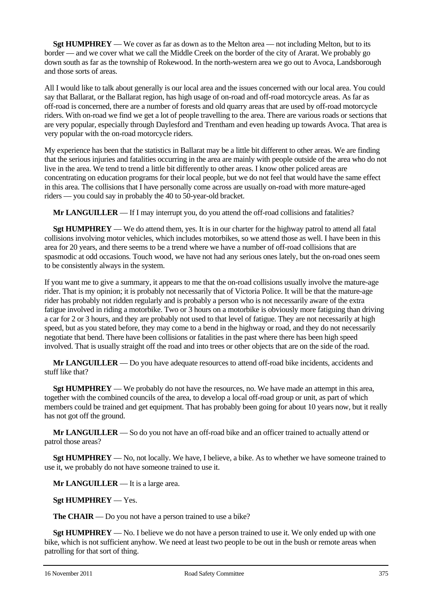**Sgt HUMPHREY** — We cover as far as down as to the Melton area — not including Melton, but to its border — and we cover what we call the Middle Creek on the border of the city of Ararat. We probably go down south as far as the township of Rokewood. In the north-western area we go out to Avoca, Landsborough and those sorts of areas.

All I would like to talk about generally is our local area and the issues concerned with our local area. You could say that Ballarat, or the Ballarat region, has high usage of on-road and off-road motorcycle areas. As far as off-road is concerned, there are a number of forests and old quarry areas that are used by off-road motorcycle riders. With on-road we find we get a lot of people travelling to the area. There are various roads or sections that are very popular, especially through Daylesford and Trentham and even heading up towards Avoca. That area is very popular with the on-road motorcycle riders.

My experience has been that the statistics in Ballarat may be a little bit different to other areas. We are finding that the serious injuries and fatalities occurring in the area are mainly with people outside of the area who do not live in the area. We tend to trend a little bit differently to other areas. I know other policed areas are concentrating on education programs for their local people, but we do not feel that would have the same effect in this area. The collisions that I have personally come across are usually on-road with more mature-aged riders — you could say in probably the 40 to 50-year-old bracket.

**Mr LANGUILLER** — If I may interrupt you, do you attend the off-road collisions and fatalities?

**Sgt HUMPHREY** — We do attend them, yes. It is in our charter for the highway patrol to attend all fatal collisions involving motor vehicles, which includes motorbikes, so we attend those as well. I have been in this area for 20 years, and there seems to be a trend where we have a number of off-road collisions that are spasmodic at odd occasions. Touch wood, we have not had any serious ones lately, but the on-road ones seem to be consistently always in the system.

If you want me to give a summary, it appears to me that the on-road collisions usually involve the mature-age rider. That is my opinion; it is probably not necessarily that of Victoria Police. It will be that the mature-age rider has probably not ridden regularly and is probably a person who is not necessarily aware of the extra fatigue involved in riding a motorbike. Two or 3 hours on a motorbike is obviously more fatiguing than driving a car for 2 or 3 hours, and they are probably not used to that level of fatigue. They are not necessarily at high speed, but as you stated before, they may come to a bend in the highway or road, and they do not necessarily negotiate that bend. There have been collisions or fatalities in the past where there has been high speed involved. That is usually straight off the road and into trees or other objects that are on the side of the road.

**Mr LANGUILLER** — Do you have adequate resources to attend off-road bike incidents, accidents and stuff like that?

**Sgt HUMPHREY** — We probably do not have the resources, no. We have made an attempt in this area, together with the combined councils of the area, to develop a local off-road group or unit, as part of which members could be trained and get equipment. That has probably been going for about 10 years now, but it really has not got off the ground.

**Mr LANGUILLER** — So do you not have an off-road bike and an officer trained to actually attend or patrol those areas?

**Sgt HUMPHREY** — No, not locally. We have, I believe, a bike. As to whether we have someone trained to use it, we probably do not have someone trained to use it.

**Mr LANGUILLER** — It is a large area.

**Sgt HUMPHREY** — Yes.

**The CHAIR** — Do you not have a person trained to use a bike?

**Sgt HUMPHREY** — No. I believe we do not have a person trained to use it. We only ended up with one bike, which is not sufficient anyhow. We need at least two people to be out in the bush or remote areas when patrolling for that sort of thing.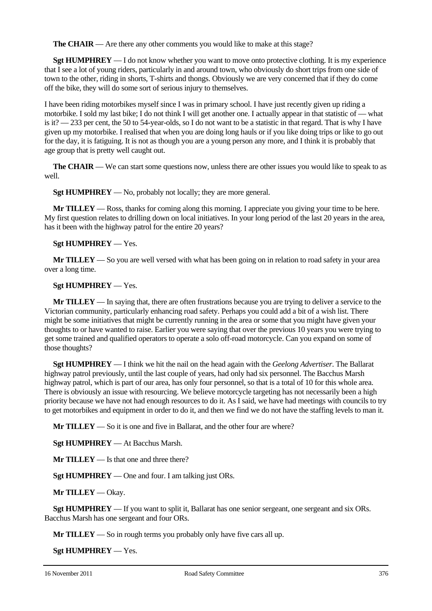**The CHAIR** — Are there any other comments you would like to make at this stage?

**Sgt HUMPHREY** — I do not know whether you want to move onto protective clothing. It is my experience that I see a lot of young riders, particularly in and around town, who obviously do short trips from one side of town to the other, riding in shorts, T-shirts and thongs. Obviously we are very concerned that if they do come off the bike, they will do some sort of serious injury to themselves.

I have been riding motorbikes myself since I was in primary school. I have just recently given up riding a motorbike. I sold my last bike; I do not think I will get another one. I actually appear in that statistic of — what is it? — 233 per cent, the 50 to 54-year-olds, so I do not want to be a statistic in that regard. That is why I have given up my motorbike. I realised that when you are doing long hauls or if you like doing trips or like to go out for the day, it is fatiguing. It is not as though you are a young person any more, and I think it is probably that age group that is pretty well caught out.

**The CHAIR** — We can start some questions now, unless there are other issues you would like to speak to as well.

**Sgt HUMPHREY** — No, probably not locally; they are more general.

**Mr TILLEY** — Ross, thanks for coming along this morning. I appreciate you giving your time to be here. My first question relates to drilling down on local initiatives. In your long period of the last 20 years in the area, has it been with the highway patrol for the entire 20 years?

#### **Sgt HUMPHREY** — Yes.

**Mr TILLEY** — So you are well versed with what has been going on in relation to road safety in your area over a long time.

#### **Sgt HUMPHREY** — Yes.

**Mr TILLEY** — In saying that, there are often frustrations because you are trying to deliver a service to the Victorian community, particularly enhancing road safety. Perhaps you could add a bit of a wish list. There might be some initiatives that might be currently running in the area or some that you might have given your thoughts to or have wanted to raise. Earlier you were saying that over the previous 10 years you were trying to get some trained and qualified operators to operate a solo off-road motorcycle. Can you expand on some of those thoughts?

**Sgt HUMPHREY** — I think we hit the nail on the head again with the *Geelong Advertiser*. The Ballarat highway patrol previously, until the last couple of years, had only had six personnel. The Bacchus Marsh highway patrol, which is part of our area, has only four personnel, so that is a total of 10 for this whole area. There is obviously an issue with resourcing. We believe motorcycle targeting has not necessarily been a high priority because we have not had enough resources to do it. As I said, we have had meetings with councils to try to get motorbikes and equipment in order to do it, and then we find we do not have the staffing levels to man it.

**Mr TILLEY** — So it is one and five in Ballarat, and the other four are where?

**Sgt HUMPHREY** — At Bacchus Marsh.

**Mr TILLEY** — Is that one and three there?

**Sgt HUMPHREY** — One and four. I am talking just ORs.

**Mr TILLEY** — Okay.

**Sgt HUMPHREY** — If you want to split it, Ballarat has one senior sergeant, one sergeant and six ORs. Bacchus Marsh has one sergeant and four ORs.

**Mr TILLEY** — So in rough terms you probably only have five cars all up.

**Sgt HUMPHREY** — Yes.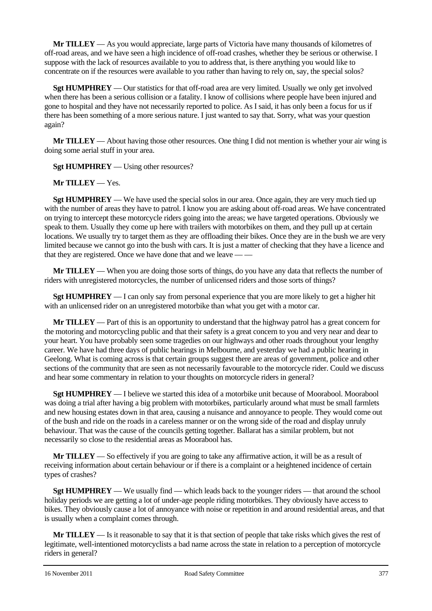**Mr TILLEY** — As you would appreciate, large parts of Victoria have many thousands of kilometres of off-road areas, and we have seen a high incidence of off-road crashes, whether they be serious or otherwise. I suppose with the lack of resources available to you to address that, is there anything you would like to concentrate on if the resources were available to you rather than having to rely on, say, the special solos?

**Sgt HUMPHREY** — Our statistics for that off-road area are very limited. Usually we only get involved when there has been a serious collision or a fatality. I know of collisions where people have been injured and gone to hospital and they have not necessarily reported to police. As I said, it has only been a focus for us if there has been something of a more serious nature. I just wanted to say that. Sorry, what was your question again?

**Mr TILLEY** — About having those other resources. One thing I did not mention is whether your air wing is doing some aerial stuff in your area.

**Sgt HUMPHREY** — Using other resources?

**Mr TILLEY** — Yes.

**Set HUMPHREY** — We have used the special solos in our area. Once again, they are very much tied up with the number of areas they have to patrol. I know you are asking about off-road areas. We have concentrated on trying to intercept these motorcycle riders going into the areas; we have targeted operations. Obviously we speak to them. Usually they come up here with trailers with motorbikes on them, and they pull up at certain locations. We usually try to target them as they are offloading their bikes. Once they are in the bush we are very limited because we cannot go into the bush with cars. It is just a matter of checking that they have a licence and that they are registered. Once we have done that and we leave — —

**Mr TILLEY** — When you are doing those sorts of things, do you have any data that reflects the number of riders with unregistered motorcycles, the number of unlicensed riders and those sorts of things?

**Sgt HUMPHREY** — I can only say from personal experience that you are more likely to get a higher hit with an unlicensed rider on an unregistered motorbike than what you get with a motor car.

**Mr TILLEY** — Part of this is an opportunity to understand that the highway patrol has a great concern for the motoring and motorcycling public and that their safety is a great concern to you and very near and dear to your heart. You have probably seen some tragedies on our highways and other roads throughout your lengthy career. We have had three days of public hearings in Melbourne, and yesterday we had a public hearing in Geelong. What is coming across is that certain groups suggest there are areas of government, police and other sections of the community that are seen as not necessarily favourable to the motorcycle rider. Could we discuss and hear some commentary in relation to your thoughts on motorcycle riders in general?

**Sgt HUMPHREY** — I believe we started this idea of a motorbike unit because of Moorabool. Moorabool was doing a trial after having a big problem with motorbikes, particularly around what must be small farmlets and new housing estates down in that area, causing a nuisance and annoyance to people. They would come out of the bush and ride on the roads in a careless manner or on the wrong side of the road and display unruly behaviour. That was the cause of the councils getting together. Ballarat has a similar problem, but not necessarily so close to the residential areas as Moorabool has.

**Mr TILLEY** — So effectively if you are going to take any affirmative action, it will be as a result of receiving information about certain behaviour or if there is a complaint or a heightened incidence of certain types of crashes?

**Sgt HUMPHREY** — We usually find — which leads back to the younger riders — that around the school holiday periods we are getting a lot of under-age people riding motorbikes. They obviously have access to bikes. They obviously cause a lot of annoyance with noise or repetition in and around residential areas, and that is usually when a complaint comes through.

**Mr TILLEY** — Is it reasonable to say that it is that section of people that take risks which gives the rest of legitimate, well-intentioned motorcyclists a bad name across the state in relation to a perception of motorcycle riders in general?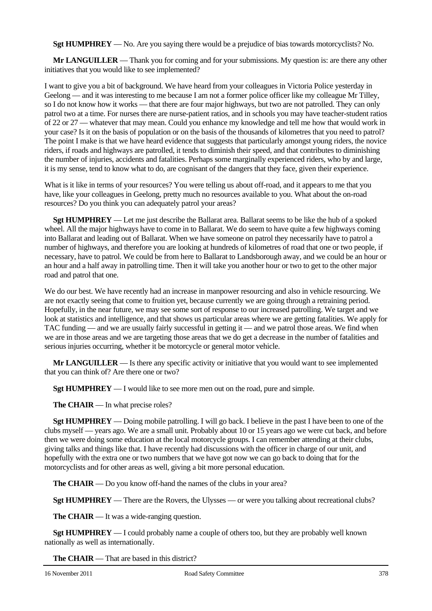**Sgt HUMPHREY** — No. Are you saying there would be a prejudice of bias towards motorcyclists? No.

**Mr LANGUILLER** — Thank you for coming and for your submissions. My question is: are there any other initiatives that you would like to see implemented?

I want to give you a bit of background. We have heard from your colleagues in Victoria Police yesterday in Geelong — and it was interesting to me because I am not a former police officer like my colleague Mr Tilley, so I do not know how it works — that there are four major highways, but two are not patrolled. They can only patrol two at a time. For nurses there are nurse-patient ratios, and in schools you may have teacher-student ratios of 22 or 27 — whatever that may mean. Could you enhance my knowledge and tell me how that would work in your case? Is it on the basis of population or on the basis of the thousands of kilometres that you need to patrol? The point I make is that we have heard evidence that suggests that particularly amongst young riders, the novice riders, if roads and highways are patrolled, it tends to diminish their speed, and that contributes to diminishing the number of injuries, accidents and fatalities. Perhaps some marginally experienced riders, who by and large, it is my sense, tend to know what to do, are cognisant of the dangers that they face, given their experience.

What is it like in terms of your resources? You were telling us about off-road, and it appears to me that you have, like your colleagues in Geelong, pretty much no resources available to you. What about the on-road resources? Do you think you can adequately patrol your areas?

**Sgt HUMPHREY** — Let me just describe the Ballarat area. Ballarat seems to be like the hub of a spoked wheel. All the major highways have to come in to Ballarat. We do seem to have quite a few highways coming into Ballarat and leading out of Ballarat. When we have someone on patrol they necessarily have to patrol a number of highways, and therefore you are looking at hundreds of kilometres of road that one or two people, if necessary, have to patrol. We could be from here to Ballarat to Landsborough away, and we could be an hour or an hour and a half away in patrolling time. Then it will take you another hour or two to get to the other major road and patrol that one.

We do our best. We have recently had an increase in manpower resourcing and also in vehicle resourcing. We are not exactly seeing that come to fruition yet, because currently we are going through a retraining period. Hopefully, in the near future, we may see some sort of response to our increased patrolling. We target and we look at statistics and intelligence, and that shows us particular areas where we are getting fatalities. We apply for TAC funding — and we are usually fairly successful in getting it — and we patrol those areas. We find when we are in those areas and we are targeting those areas that we do get a decrease in the number of fatalities and serious injuries occurring, whether it be motorcycle or general motor vehicle.

**Mr LANGUILLER** — Is there any specific activity or initiative that you would want to see implemented that you can think of? Are there one or two?

**Sgt HUMPHREY** — I would like to see more men out on the road, pure and simple.

**The CHAIR** — In what precise roles?

**Sgt HUMPHREY** — Doing mobile patrolling. I will go back. I believe in the past I have been to one of the clubs myself — years ago. We are a small unit. Probably about 10 or 15 years ago we were cut back, and before then we were doing some education at the local motorcycle groups. I can remember attending at their clubs, giving talks and things like that. I have recently had discussions with the officer in charge of our unit, and hopefully with the extra one or two numbers that we have got now we can go back to doing that for the motorcyclists and for other areas as well, giving a bit more personal education.

**The CHAIR** — Do you know off-hand the names of the clubs in your area?

**Sgt HUMPHREY** — There are the Rovers, the Ulysses — or were you talking about recreational clubs?

**The CHAIR** — It was a wide-ranging question.

**Sgt HUMPHREY** — I could probably name a couple of others too, but they are probably well known nationally as well as internationally.

**The CHAIR** — That are based in this district?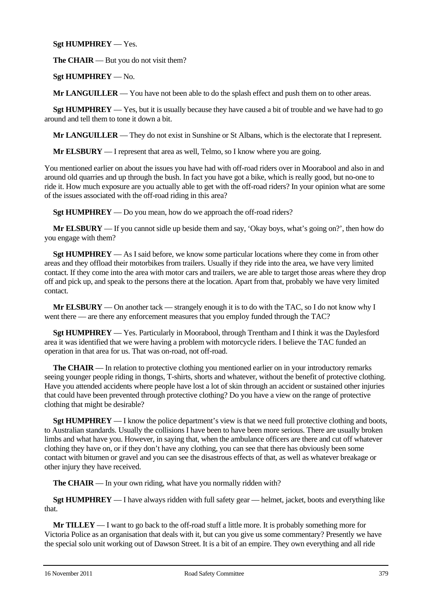# **Sgt HUMPHREY** — Yes.

**The CHAIR** — But you do not visit them?

**Sgt HUMPHREY** — No.

**Mr LANGUILLER** — You have not been able to do the splash effect and push them on to other areas.

**Sgt HUMPHREY** — Yes, but it is usually because they have caused a bit of trouble and we have had to go around and tell them to tone it down a bit.

**Mr LANGUILLER** — They do not exist in Sunshine or St Albans, which is the electorate that I represent.

**Mr ELSBURY** — I represent that area as well, Telmo, so I know where you are going.

You mentioned earlier on about the issues you have had with off-road riders over in Moorabool and also in and around old quarries and up through the bush. In fact you have got a bike, which is really good, but no-one to ride it. How much exposure are you actually able to get with the off-road riders? In your opinion what are some of the issues associated with the off-road riding in this area?

**Sgt HUMPHREY** — Do you mean, how do we approach the off-road riders?

**Mr ELSBURY** — If you cannot sidle up beside them and say, 'Okay boys, what's going on?', then how do you engage with them?

**Sgt HUMPHREY** — As I said before, we know some particular locations where they come in from other areas and they offload their motorbikes from trailers. Usually if they ride into the area, we have very limited contact. If they come into the area with motor cars and trailers, we are able to target those areas where they drop off and pick up, and speak to the persons there at the location. Apart from that, probably we have very limited contact.

**Mr ELSBURY** — On another tack — strangely enough it is to do with the TAC, so I do not know why I went there — are there any enforcement measures that you employ funded through the TAC?

**Sgt HUMPHREY** — Yes. Particularly in Moorabool, through Trentham and I think it was the Daylesford area it was identified that we were having a problem with motorcycle riders. I believe the TAC funded an operation in that area for us. That was on-road, not off-road.

**The CHAIR** — In relation to protective clothing you mentioned earlier on in your introductory remarks seeing younger people riding in thongs, T-shirts, shorts and whatever, without the benefit of protective clothing. Have you attended accidents where people have lost a lot of skin through an accident or sustained other injuries that could have been prevented through protective clothing? Do you have a view on the range of protective clothing that might be desirable?

**Sgt HUMPHREY** — I know the police department's view is that we need full protective clothing and boots, to Australian standards. Usually the collisions I have been to have been more serious. There are usually broken limbs and what have you. However, in saying that, when the ambulance officers are there and cut off whatever clothing they have on, or if they don't have any clothing, you can see that there has obviously been some contact with bitumen or gravel and you can see the disastrous effects of that, as well as whatever breakage or other injury they have received.

**The CHAIR** — In your own riding, what have you normally ridden with?

**Sgt HUMPHREY** — I have always ridden with full safety gear — helmet, jacket, boots and everything like that.

**Mr TILLEY** — I want to go back to the off-road stuff a little more. It is probably something more for Victoria Police as an organisation that deals with it, but can you give us some commentary? Presently we have the special solo unit working out of Dawson Street. It is a bit of an empire. They own everything and all ride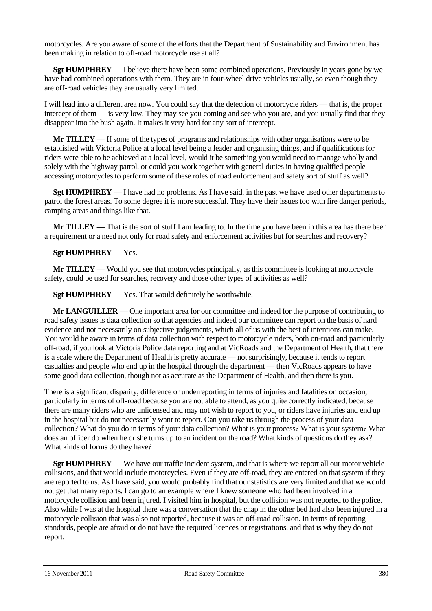motorcycles. Are you aware of some of the efforts that the Department of Sustainability and Environment has been making in relation to off-road motorcycle use at all?

**Sgt HUMPHREY** — I believe there have been some combined operations. Previously in years gone by we have had combined operations with them. They are in four-wheel drive vehicles usually, so even though they are off-road vehicles they are usually very limited.

I will lead into a different area now. You could say that the detection of motorcycle riders — that is, the proper intercept of them — is very low. They may see you coming and see who you are, and you usually find that they disappear into the bush again. It makes it very hard for any sort of intercept.

**Mr TILLEY** — If some of the types of programs and relationships with other organisations were to be established with Victoria Police at a local level being a leader and organising things, and if qualifications for riders were able to be achieved at a local level, would it be something you would need to manage wholly and solely with the highway patrol, or could you work together with general duties in having qualified people accessing motorcycles to perform some of these roles of road enforcement and safety sort of stuff as well?

**Sgt HUMPHREY** — I have had no problems. As I have said, in the past we have used other departments to patrol the forest areas. To some degree it is more successful. They have their issues too with fire danger periods, camping areas and things like that.

**Mr TILLEY** — That is the sort of stuff I am leading to. In the time you have been in this area has there been a requirement or a need not only for road safety and enforcement activities but for searches and recovery?

# **Sgt HUMPHREY** — Yes.

**Mr TILLEY** — Would you see that motorcycles principally, as this committee is looking at motorcycle safety, could be used for searches, recovery and those other types of activities as well?

**Sgt HUMPHREY** — Yes. That would definitely be worthwhile.

**Mr LANGUILLER** — One important area for our committee and indeed for the purpose of contributing to road safety issues is data collection so that agencies and indeed our committee can report on the basis of hard evidence and not necessarily on subjective judgements, which all of us with the best of intentions can make. You would be aware in terms of data collection with respect to motorcycle riders, both on-road and particularly off-road, if you look at Victoria Police data reporting and at VicRoads and the Department of Health, that there is a scale where the Department of Health is pretty accurate — not surprisingly, because it tends to report casualties and people who end up in the hospital through the department — then VicRoads appears to have some good data collection, though not as accurate as the Department of Health, and then there is you.

There is a significant disparity, difference or underreporting in terms of injuries and fatalities on occasion, particularly in terms of off-road because you are not able to attend, as you quite correctly indicated, because there are many riders who are unlicensed and may not wish to report to you, or riders have injuries and end up in the hospital but do not necessarily want to report. Can you take us through the process of your data collection? What do you do in terms of your data collection? What is your process? What is your system? What does an officer do when he or she turns up to an incident on the road? What kinds of questions do they ask? What kinds of forms do they have?

**Sgt HUMPHREY** — We have our traffic incident system, and that is where we report all our motor vehicle collisions, and that would include motorcycles. Even if they are off-road, they are entered on that system if they are reported to us. As I have said, you would probably find that our statistics are very limited and that we would not get that many reports. I can go to an example where I knew someone who had been involved in a motorcycle collision and been injured. I visited him in hospital, but the collision was not reported to the police. Also while I was at the hospital there was a conversation that the chap in the other bed had also been injured in a motorcycle collision that was also not reported, because it was an off-road collision. In terms of reporting standards, people are afraid or do not have the required licences or registrations, and that is why they do not report.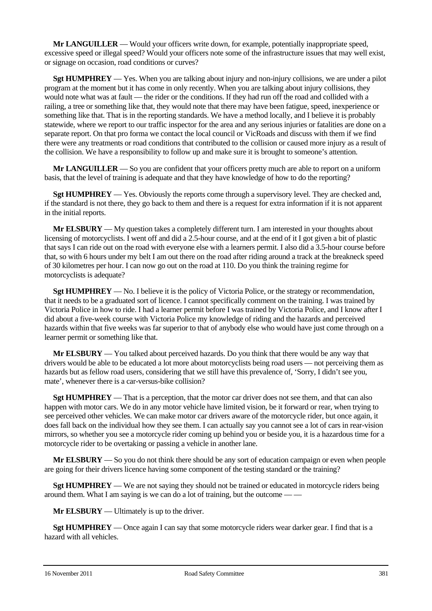**Mr LANGUILLER** — Would your officers write down, for example, potentially inappropriate speed, excessive speed or illegal speed? Would your officers note some of the infrastructure issues that may well exist, or signage on occasion, road conditions or curves?

**Sgt HUMPHREY** — Yes. When you are talking about injury and non-injury collisions, we are under a pilot program at the moment but it has come in only recently. When you are talking about injury collisions, they would note what was at fault — the rider or the conditions. If they had run off the road and collided with a railing, a tree or something like that, they would note that there may have been fatigue, speed, inexperience or something like that. That is in the reporting standards. We have a method locally, and I believe it is probably statewide, where we report to our traffic inspector for the area and any serious injuries or fatalities are done on a separate report. On that pro forma we contact the local council or VicRoads and discuss with them if we find there were any treatments or road conditions that contributed to the collision or caused more injury as a result of the collision. We have a responsibility to follow up and make sure it is brought to someone's attention.

**Mr LANGUILLER** — So you are confident that your officers pretty much are able to report on a uniform basis, that the level of training is adequate and that they have knowledge of how to do the reporting?

**Sgt HUMPHREY** — Yes. Obviously the reports come through a supervisory level. They are checked and, if the standard is not there, they go back to them and there is a request for extra information if it is not apparent in the initial reports.

**Mr ELSBURY** — My question takes a completely different turn. I am interested in your thoughts about licensing of motorcyclists. I went off and did a 2.5-hour course, and at the end of it I got given a bit of plastic that says I can ride out on the road with everyone else with a learners permit. I also did a 3.5-hour course before that, so with 6 hours under my belt I am out there on the road after riding around a track at the breakneck speed of 30 kilometres per hour. I can now go out on the road at 110. Do you think the training regime for motorcyclists is adequate?

**Sgt HUMPHREY** — No. I believe it is the policy of Victoria Police, or the strategy or recommendation, that it needs to be a graduated sort of licence. I cannot specifically comment on the training. I was trained by Victoria Police in how to ride. I had a learner permit before I was trained by Victoria Police, and I know after I did about a five-week course with Victoria Police my knowledge of riding and the hazards and perceived hazards within that five weeks was far superior to that of anybody else who would have just come through on a learner permit or something like that.

**Mr ELSBURY** — You talked about perceived hazards. Do you think that there would be any way that drivers would be able to be educated a lot more about motorcyclists being road users — not perceiving them as hazards but as fellow road users, considering that we still have this prevalence of, 'Sorry, I didn't see you, mate', whenever there is a car-versus-bike collision?

**Sgt HUMPHREY** — That is a perception, that the motor car driver does not see them, and that can also happen with motor cars. We do in any motor vehicle have limited vision, be it forward or rear, when trying to see perceived other vehicles. We can make motor car drivers aware of the motorcycle rider, but once again, it does fall back on the individual how they see them. I can actually say you cannot see a lot of cars in rear-vision mirrors, so whether you see a motorcycle rider coming up behind you or beside you, it is a hazardous time for a motorcycle rider to be overtaking or passing a vehicle in another lane.

**Mr ELSBURY** — So you do not think there should be any sort of education campaign or even when people are going for their drivers licence having some component of the testing standard or the training?

**Sgt HUMPHREY** — We are not saying they should not be trained or educated in motorcycle riders being around them. What I am saying is we can do a lot of training, but the outcome -

**Mr ELSBURY** — Ultimately is up to the driver.

**Sgt HUMPHREY** — Once again I can say that some motorcycle riders wear darker gear. I find that is a hazard with all vehicles.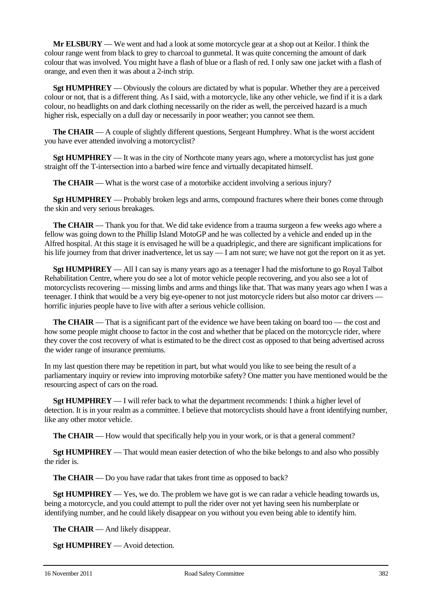**Mr ELSBURY** — We went and had a look at some motorcycle gear at a shop out at Keilor. I think the colour range went from black to grey to charcoal to gunmetal. It was quite concerning the amount of dark colour that was involved. You might have a flash of blue or a flash of red. I only saw one jacket with a flash of orange, and even then it was about a 2-inch strip.

**Sgt HUMPHREY** — Obviously the colours are dictated by what is popular. Whether they are a perceived colour or not, that is a different thing. As I said, with a motorcycle, like any other vehicle, we find if it is a dark colour, no headlights on and dark clothing necessarily on the rider as well, the perceived hazard is a much higher risk, especially on a dull day or necessarily in poor weather; you cannot see them.

**The CHAIR** — A couple of slightly different questions, Sergeant Humphrey. What is the worst accident you have ever attended involving a motorcyclist?

**Sgt HUMPHREY** — It was in the city of Northcote many years ago, where a motorcyclist has just gone straight off the T-intersection into a barbed wire fence and virtually decapitated himself.

**The CHAIR** — What is the worst case of a motorbike accident involving a serious injury?

**Sgt HUMPHREY** — Probably broken legs and arms, compound fractures where their bones come through the skin and very serious breakages.

**The CHAIR** — Thank you for that. We did take evidence from a trauma surgeon a few weeks ago where a fellow was going down to the Phillip Island MotoGP and he was collected by a vehicle and ended up in the Alfred hospital. At this stage it is envisaged he will be a quadriplegic, and there are significant implications for his life journey from that driver inadvertence, let us say — I am not sure; we have not got the report on it as yet.

**Sgt HUMPHREY** — All I can say is many years ago as a teenager I had the misfortune to go Royal Talbot Rehabilitation Centre, where you do see a lot of motor vehicle people recovering, and you also see a lot of motorcyclists recovering — missing limbs and arms and things like that. That was many years ago when I was a teenager. I think that would be a very big eye-opener to not just motorcycle riders but also motor car drivers horrific injuries people have to live with after a serious vehicle collision.

**The CHAIR** — That is a significant part of the evidence we have been taking on board too — the cost and how some people might choose to factor in the cost and whether that be placed on the motorcycle rider, where they cover the cost recovery of what is estimated to be the direct cost as opposed to that being advertised across the wider range of insurance premiums.

In my last question there may be repetition in part, but what would you like to see being the result of a parliamentary inquiry or review into improving motorbike safety? One matter you have mentioned would be the resourcing aspect of cars on the road.

**Sgt HUMPHREY** — I will refer back to what the department recommends: I think a higher level of detection. It is in your realm as a committee. I believe that motorcyclists should have a front identifying number, like any other motor vehicle.

**The CHAIR** — How would that specifically help you in your work, or is that a general comment?

**Sgt HUMPHREY** — That would mean easier detection of who the bike belongs to and also who possibly the rider is.

**The CHAIR** — Do you have radar that takes front time as opposed to back?

**Sgt HUMPHREY** — Yes, we do. The problem we have got is we can radar a vehicle heading towards us, being a motorcycle, and you could attempt to pull the rider over not yet having seen his numberplate or identifying number, and he could likely disappear on you without you even being able to identify him.

**The CHAIR** — And likely disappear.

**Sgt HUMPHREY** — Avoid detection.